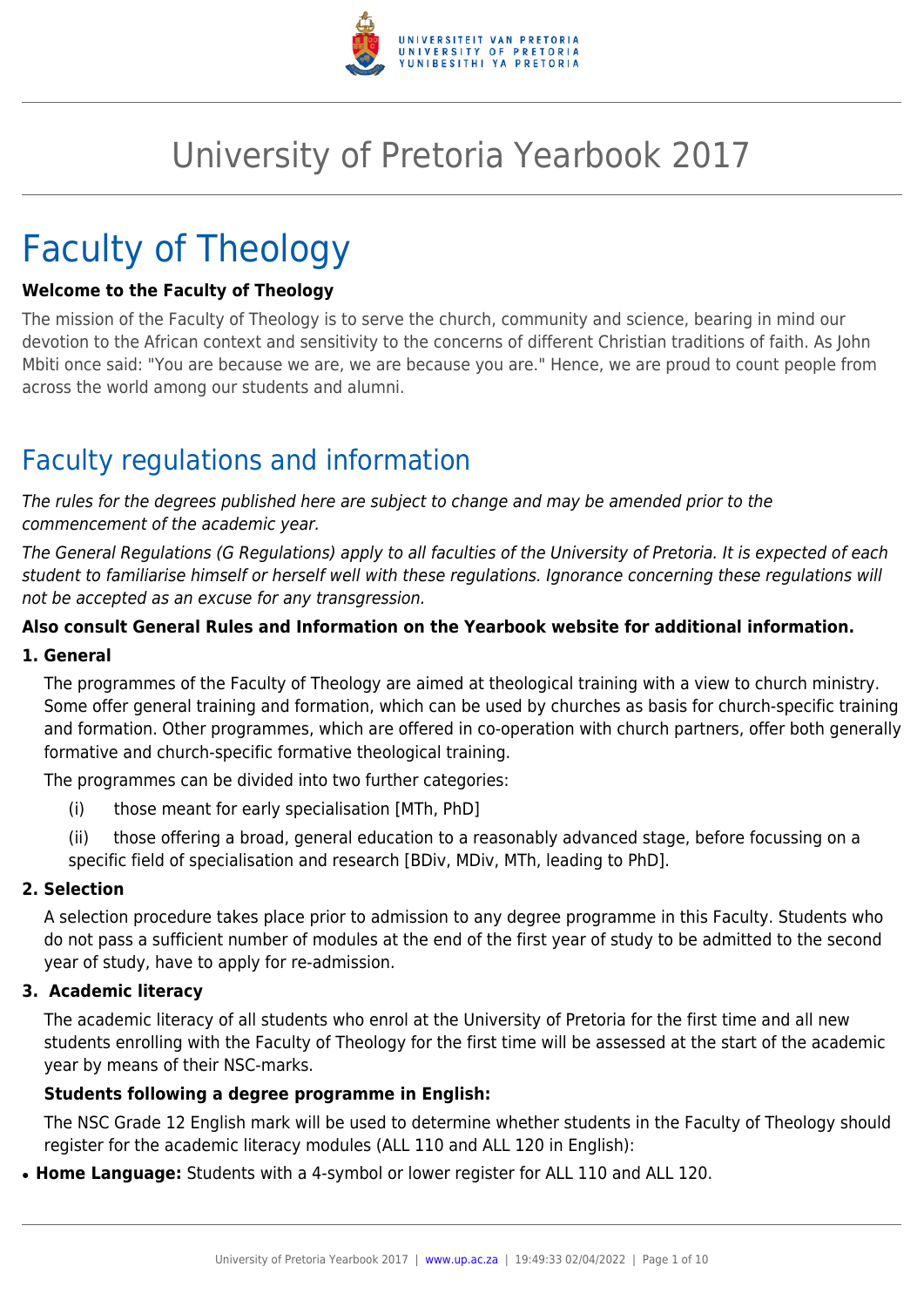

# University of Pretoria Yearbook 2017

# Faculty of Theology

#### **Welcome to the Faculty of Theology**

The mission of the Faculty of Theology is to serve the church, community and science, bearing in mind our devotion to the African context and sensitivity to the concerns of different Christian traditions of faith. As John Mbiti once said: "You are because we are, we are because you are." Hence, we are proud to count people from across the world among our students and alumni.

# Faculty regulations and information

The rules for the degrees published here are subject to change and may be amended prior to the commencement of the academic year.

The General Regulations (G Regulations) apply to all faculties of the University of Pretoria. It is expected of each student to familiarise himself or herself well with these regulations. Ignorance concerning these regulations will not be accepted as an excuse for any transgression.

#### **Also consult General Rules and Information on the Yearbook website for additional information.**

#### **1. General**

The programmes of the Faculty of Theology are aimed at theological training with a view to church ministry. Some offer general training and formation, which can be used by churches as basis for church-specific training and formation. Other programmes, which are offered in co-operation with church partners, offer both generally formative and church-specific formative theological training.

The programmes can be divided into two further categories:

- (i) those meant for early specialisation [MTh, PhD]
- (ii) those offering a broad, general education to a reasonably advanced stage, before focussing on a specific field of specialisation and research [BDiv, MDiv, MTh, leading to PhD].

#### **2. Selection**

A selection procedure takes place prior to admission to any degree programme in this Faculty. Students who do not pass a sufficient number of modules at the end of the first year of study to be admitted to the second year of study, have to apply for re-admission.

#### **3. Academic literacy**

The academic literacy of all students who enrol at the University of Pretoria for the first time and all new students enrolling with the Faculty of Theology for the first time will be assessed at the start of the academic year by means of their NSC-marks.

#### **Students following a degree programme in English:**

The NSC Grade 12 English mark will be used to determine whether students in the Faculty of Theology should register for the academic literacy modules (ALL 110 and ALL 120 in English):

• Home Language: Students with a 4-symbol or lower register for ALL 110 and ALL 120.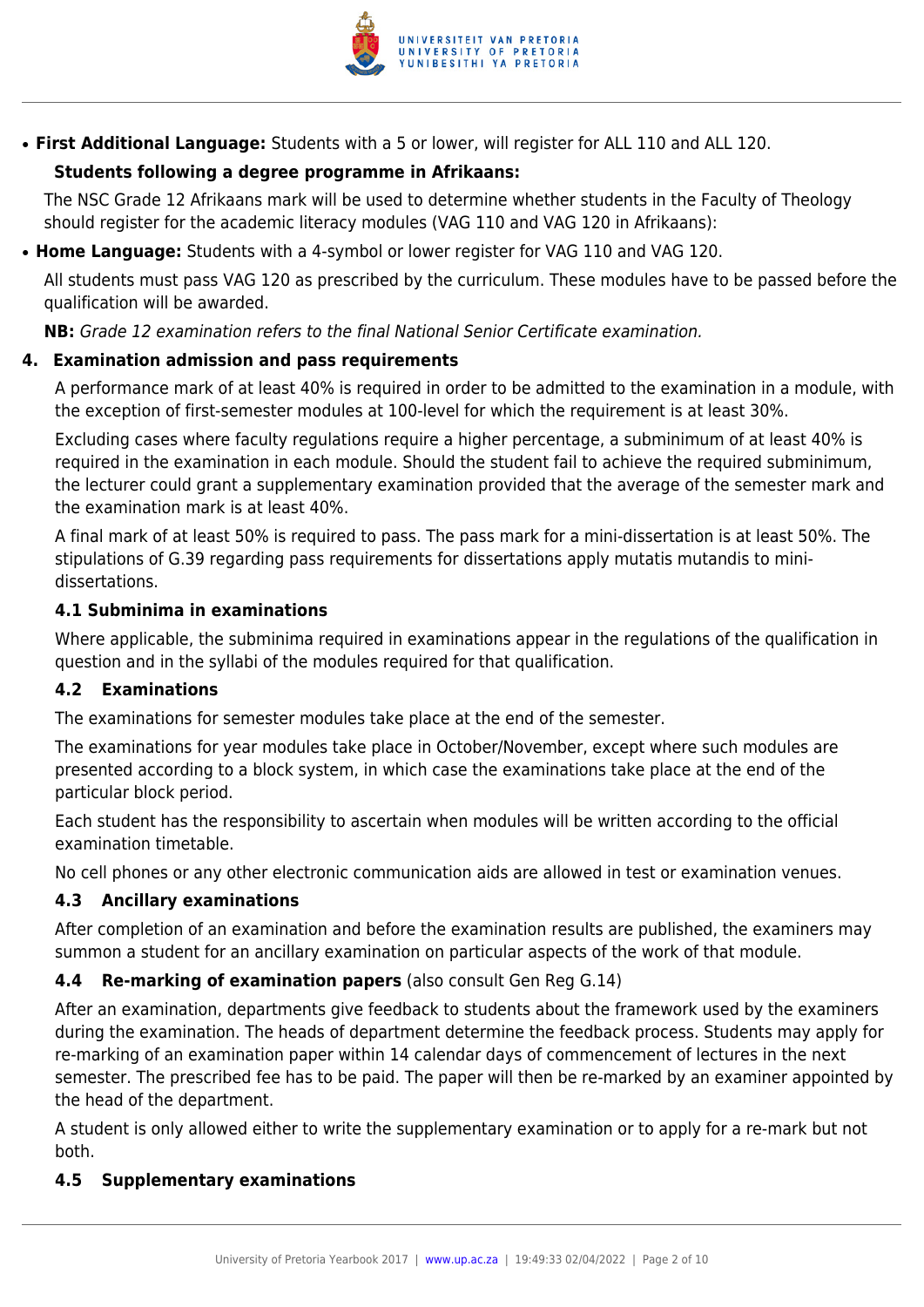

● **First Additional Language:** Students with a 5 or lower, will register for ALL 110 and ALL 120.

## **Students following a degree programme in Afrikaans:**

The NSC Grade 12 Afrikaans mark will be used to determine whether students in the Faculty of Theology should register for the academic literacy modules (VAG 110 and VAG 120 in Afrikaans):

● **Home Language:** Students with a 4-symbol or lower register for VAG 110 and VAG 120.

All students must pass VAG 120 as prescribed by the curriculum. These modules have to be passed before the qualification will be awarded.

**NB:** Grade 12 examination refers to the final National Senior Certificate examination.

#### **4. Examination admission and pass requirements**

A performance mark of at least 40% is required in order to be admitted to the examination in a module, with the exception of first-semester modules at 100-level for which the requirement is at least 30%.

Excluding cases where faculty regulations require a higher percentage, a subminimum of at least 40% is required in the examination in each module. Should the student fail to achieve the required subminimum, the lecturer could grant a supplementary examination provided that the average of the semester mark and the examination mark is at least 40%.

A final mark of at least 50% is required to pass. The pass mark for a mini-dissertation is at least 50%. The stipulations of G.39 regarding pass requirements for dissertations apply mutatis mutandis to minidissertations.

#### **4.1 Subminima in examinations**

Where applicable, the subminima required in examinations appear in the regulations of the qualification in question and in the syllabi of the modules required for that qualification.

## **4.2 Examinations**

The examinations for semester modules take place at the end of the semester.

The examinations for year modules take place in October/November, except where such modules are presented according to a block system, in which case the examinations take place at the end of the particular block period.

Each student has the responsibility to ascertain when modules will be written according to the official examination timetable.

No cell phones or any other electronic communication aids are allowed in test or examination venues.

## **4.3 Ancillary examinations**

After completion of an examination and before the examination results are published, the examiners may summon a student for an ancillary examination on particular aspects of the work of that module.

## **4.4 Re-marking of examination papers** (also consult Gen Reg G.14)

After an examination, departments give feedback to students about the framework used by the examiners during the examination. The heads of department determine the feedback process. Students may apply for re-marking of an examination paper within 14 calendar days of commencement of lectures in the next semester. The prescribed fee has to be paid. The paper will then be re-marked by an examiner appointed by the head of the department.

A student is only allowed either to write the supplementary examination or to apply for a re-mark but not both.

#### **4.5 Supplementary examinations**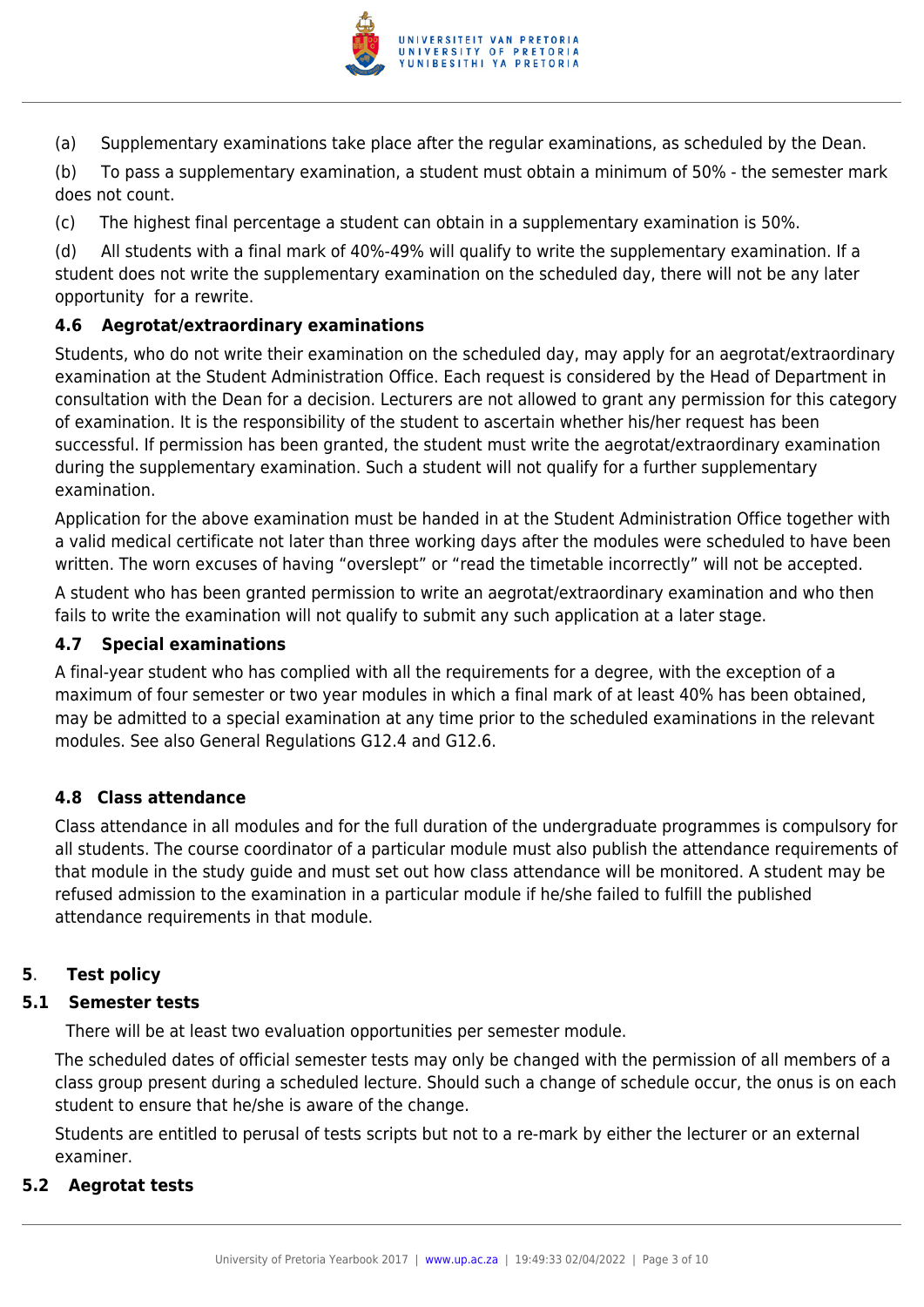

(a) Supplementary examinations take place after the regular examinations, as scheduled by the Dean.

(b) To pass a supplementary examination, a student must obtain a minimum of 50% - the semester mark does not count.

(c) The highest final percentage a student can obtain in a supplementary examination is 50%.

(d) All students with a final mark of 40%-49% will qualify to write the supplementary examination. If a student does not write the supplementary examination on the scheduled day, there will not be any later opportunity for a rewrite.

## **4.6 Aegrotat/extraordinary examinations**

Students, who do not write their examination on the scheduled day, may apply for an aegrotat/extraordinary examination at the Student Administration Office. Each request is considered by the Head of Department in consultation with the Dean for a decision. Lecturers are not allowed to grant any permission for this category of examination. It is the responsibility of the student to ascertain whether his/her request has been successful. If permission has been granted, the student must write the aegrotat/extraordinary examination during the supplementary examination. Such a student will not qualify for a further supplementary examination.

Application for the above examination must be handed in at the Student Administration Office together with a valid medical certificate not later than three working days after the modules were scheduled to have been written. The worn excuses of having "overslept" or "read the timetable incorrectly" will not be accepted.

A student who has been granted permission to write an aegrotat/extraordinary examination and who then fails to write the examination will not qualify to submit any such application at a later stage.

#### **4.7 Special examinations**

A final-year student who has complied with all the requirements for a degree, with the exception of a maximum of four semester or two year modules in which a final mark of at least 40% has been obtained, may be admitted to a special examination at any time prior to the scheduled examinations in the relevant modules. See also General Regulations G12.4 and G12.6.

## **4.8 Class attendance**

Class attendance in all modules and for the full duration of the undergraduate programmes is compulsory for all students. The course coordinator of a particular module must also publish the attendance requirements of that module in the study guide and must set out how class attendance will be monitored. A student may be refused admission to the examination in a particular module if he/she failed to fulfill the published attendance requirements in that module.

# **5**. **Test policy**

## **5.1 Semester tests**

There will be at least two evaluation opportunities per semester module.

The scheduled dates of official semester tests may only be changed with the permission of all members of a class group present during a scheduled lecture. Should such a change of schedule occur, the onus is on each student to ensure that he/she is aware of the change.

Students are entitled to perusal of tests scripts but not to a re-mark by either the lecturer or an external examiner.

#### **5.2 Aegrotat tests**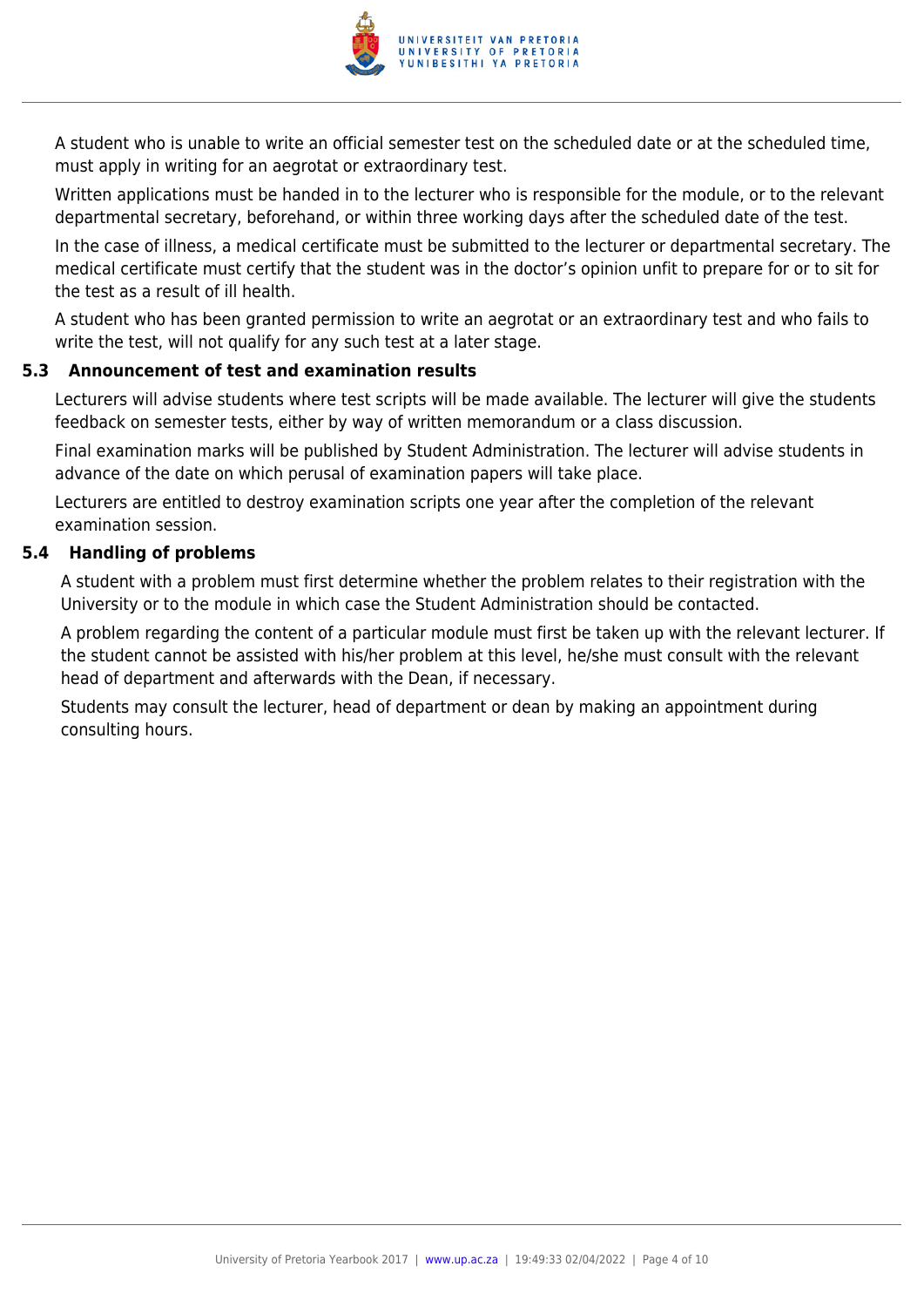

A student who is unable to write an official semester test on the scheduled date or at the scheduled time, must apply in writing for an aegrotat or extraordinary test.

Written applications must be handed in to the lecturer who is responsible for the module, or to the relevant departmental secretary, beforehand, or within three working days after the scheduled date of the test.

In the case of illness, a medical certificate must be submitted to the lecturer or departmental secretary. The medical certificate must certify that the student was in the doctor's opinion unfit to prepare for or to sit for the test as a result of ill health.

A student who has been granted permission to write an aegrotat or an extraordinary test and who fails to write the test, will not qualify for any such test at a later stage.

#### **5.3 Announcement of test and examination results**

Lecturers will advise students where test scripts will be made available. The lecturer will give the students feedback on semester tests, either by way of written memorandum or a class discussion.

Final examination marks will be published by Student Administration. The lecturer will advise students in advance of the date on which perusal of examination papers will take place.

Lecturers are entitled to destroy examination scripts one year after the completion of the relevant examination session.

#### **5.4 Handling of problems**

A student with a problem must first determine whether the problem relates to their registration with the University or to the module in which case the Student Administration should be contacted.

A problem regarding the content of a particular module must first be taken up with the relevant lecturer. If the student cannot be assisted with his/her problem at this level, he/she must consult with the relevant head of department and afterwards with the Dean, if necessary.

Students may consult the lecturer, head of department or dean by making an appointment during consulting hours.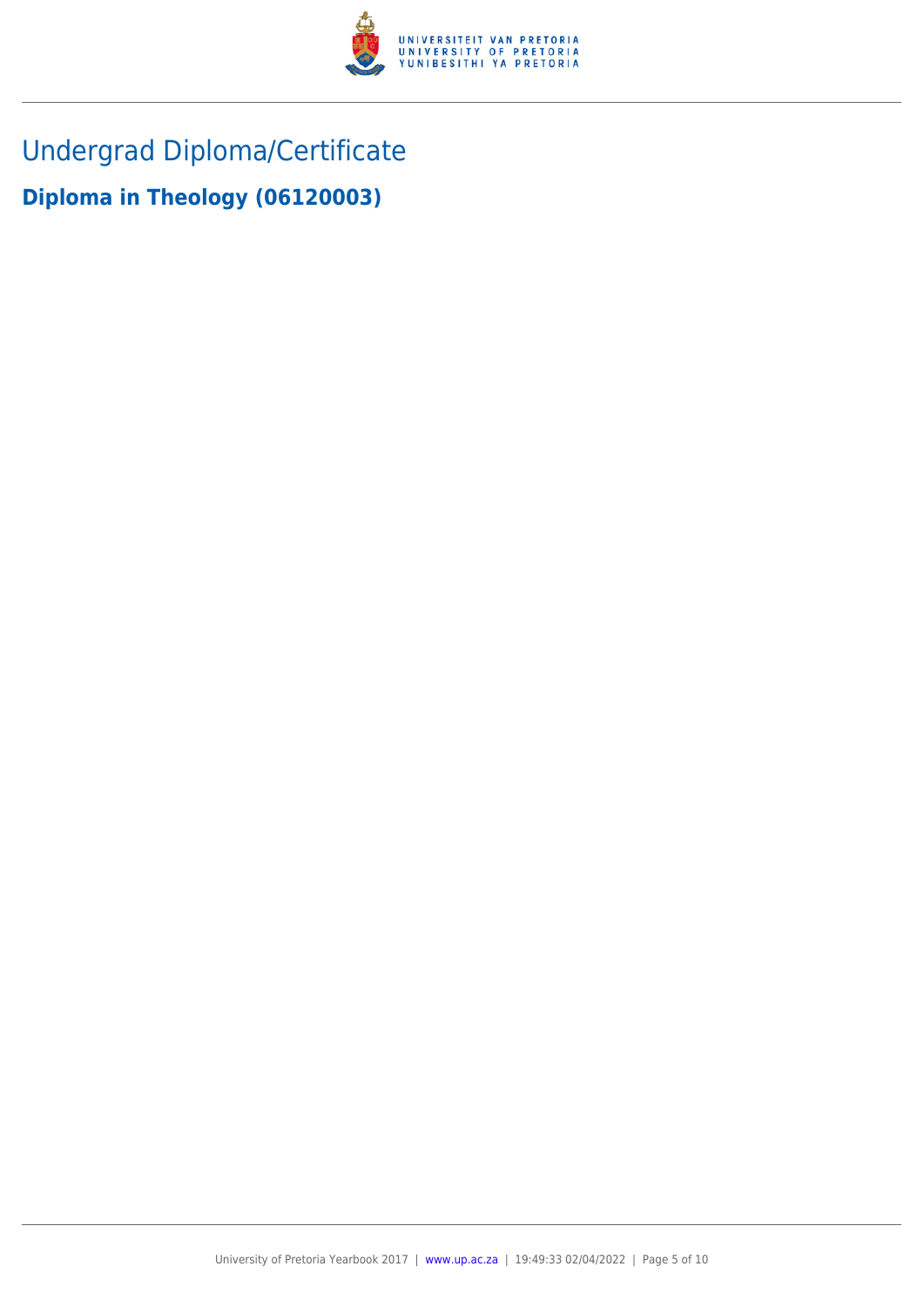

Undergrad Diploma/Certificate

**Diploma in Theology (06120003)**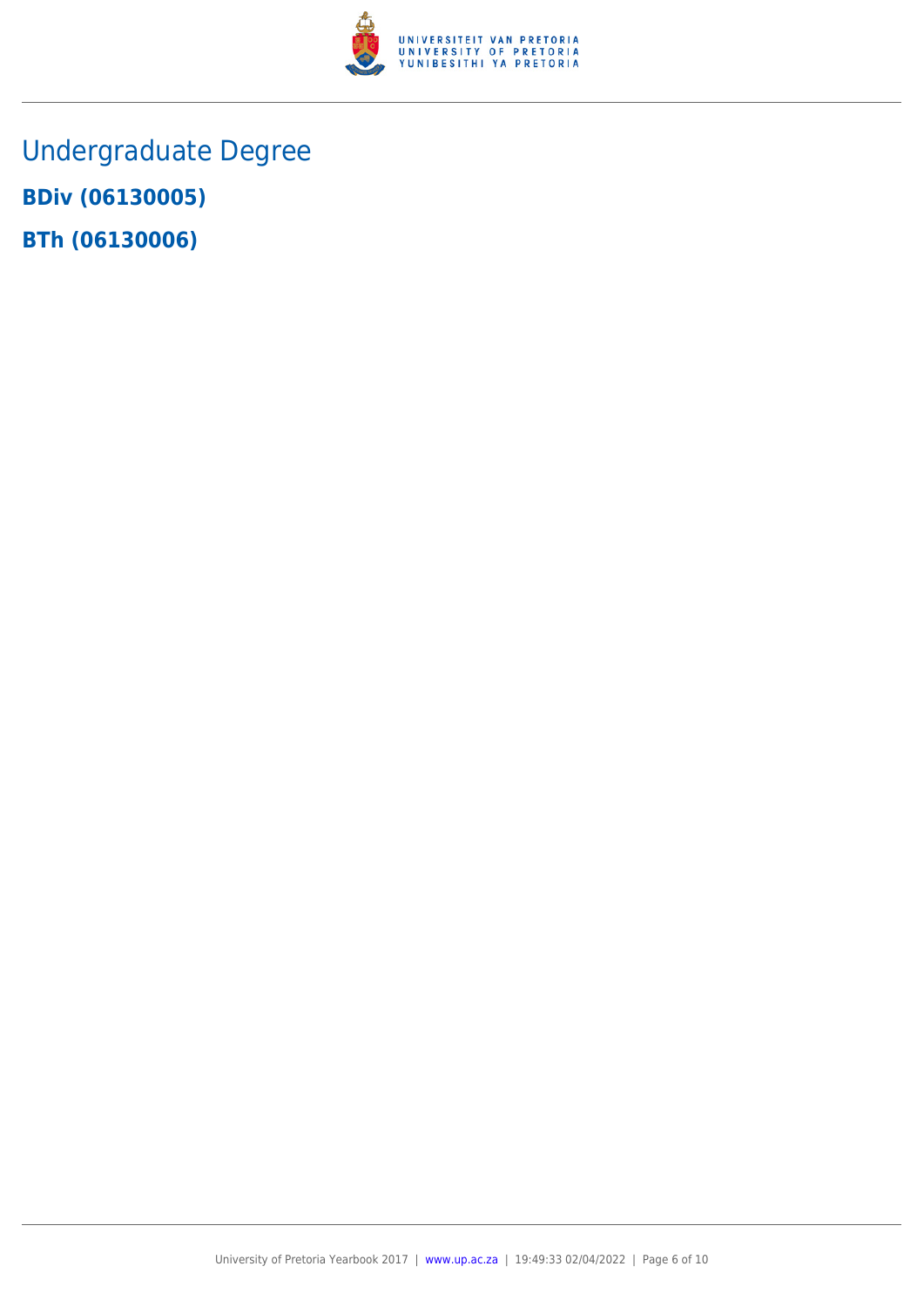

Undergraduate Degree **BDiv (06130005) BTh (06130006)**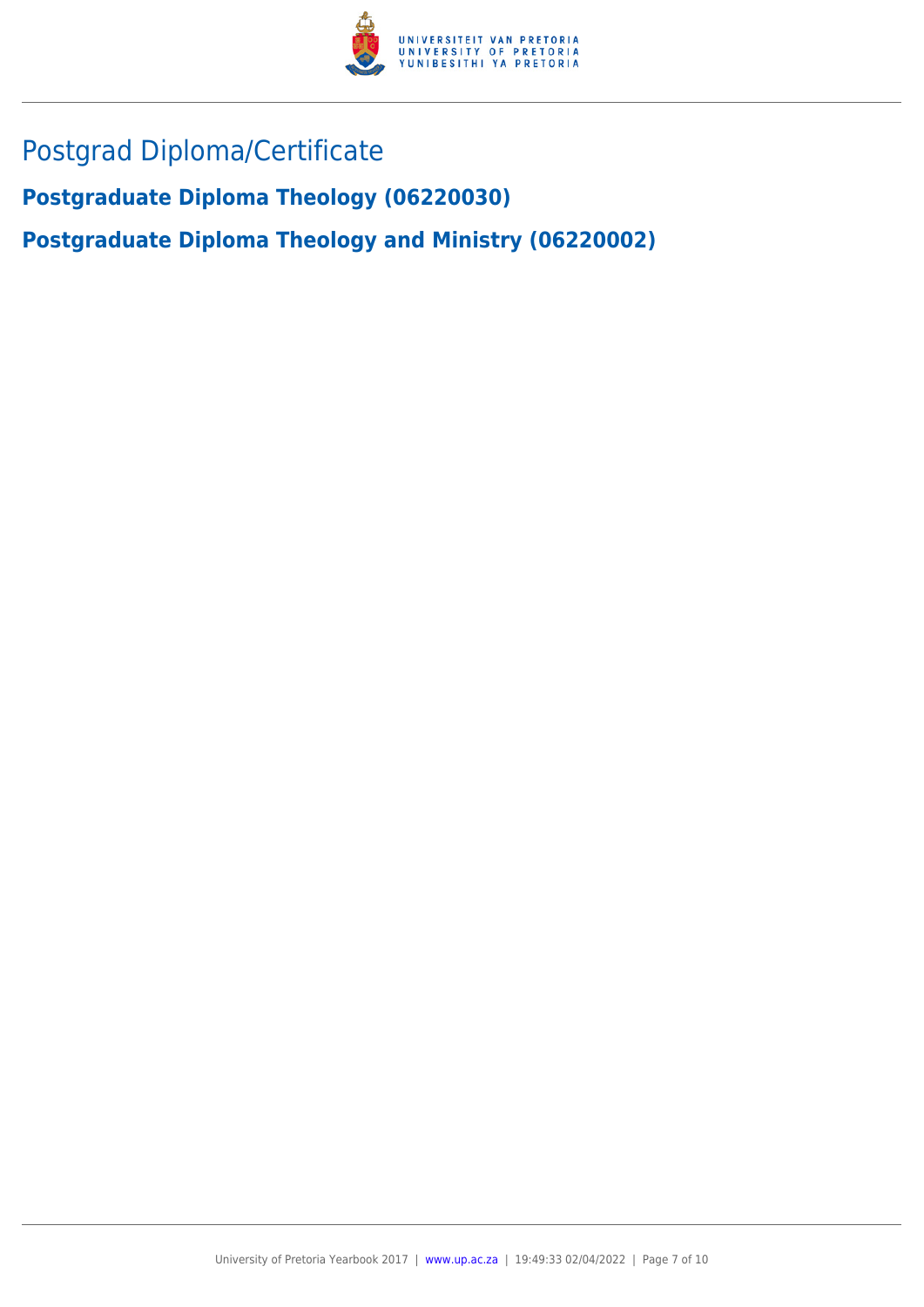

# Postgrad Diploma/Certificate

**Postgraduate Diploma Theology (06220030)**

**Postgraduate Diploma Theology and Ministry (06220002)**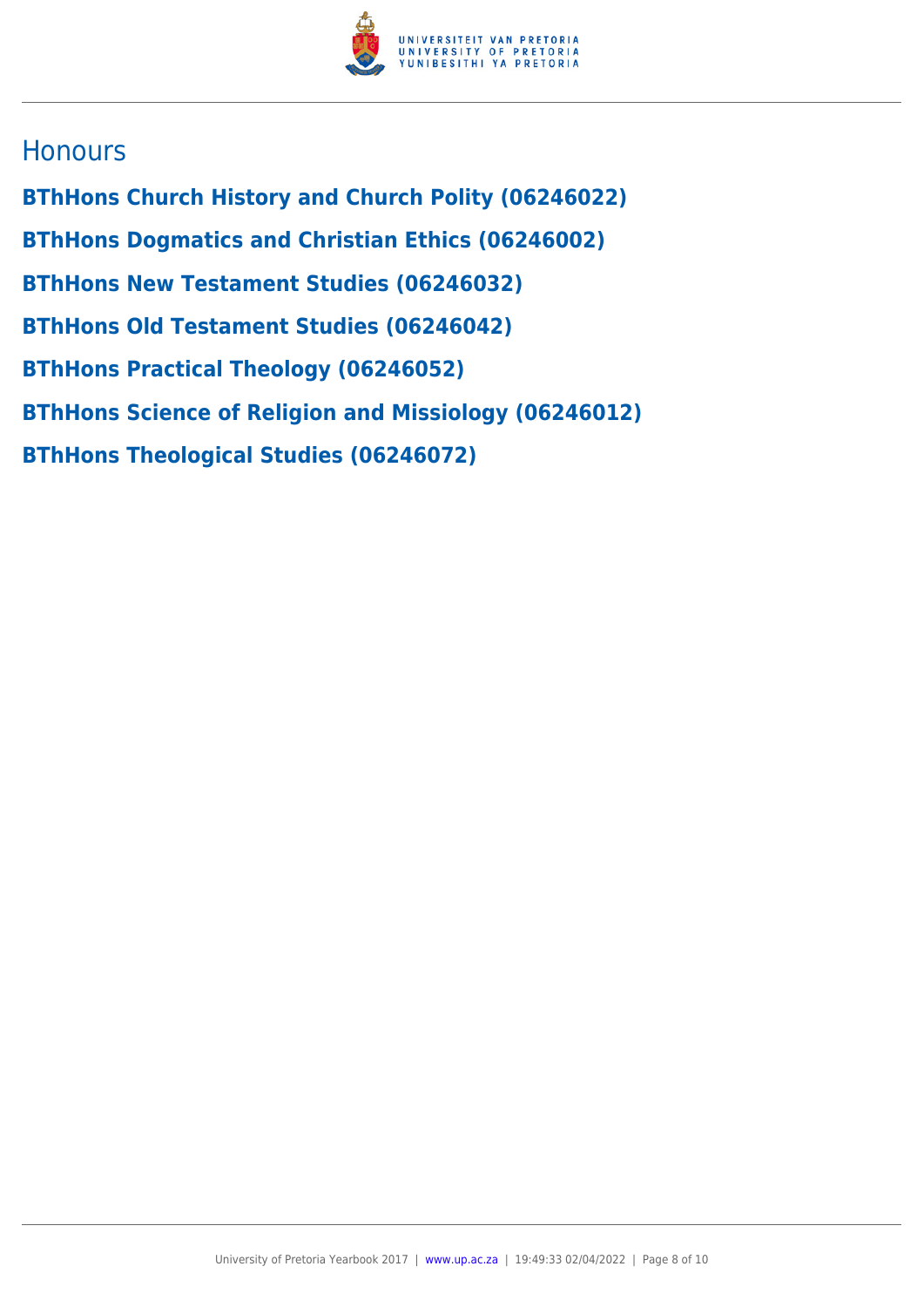

# **Honours**

**BThHons Church History and Church Polity (06246022) BThHons Dogmatics and Christian Ethics (06246002) BThHons New Testament Studies (06246032) BThHons Old Testament Studies (06246042) BThHons Practical Theology (06246052) BThHons Science of Religion and Missiology (06246012) BThHons Theological Studies (06246072)**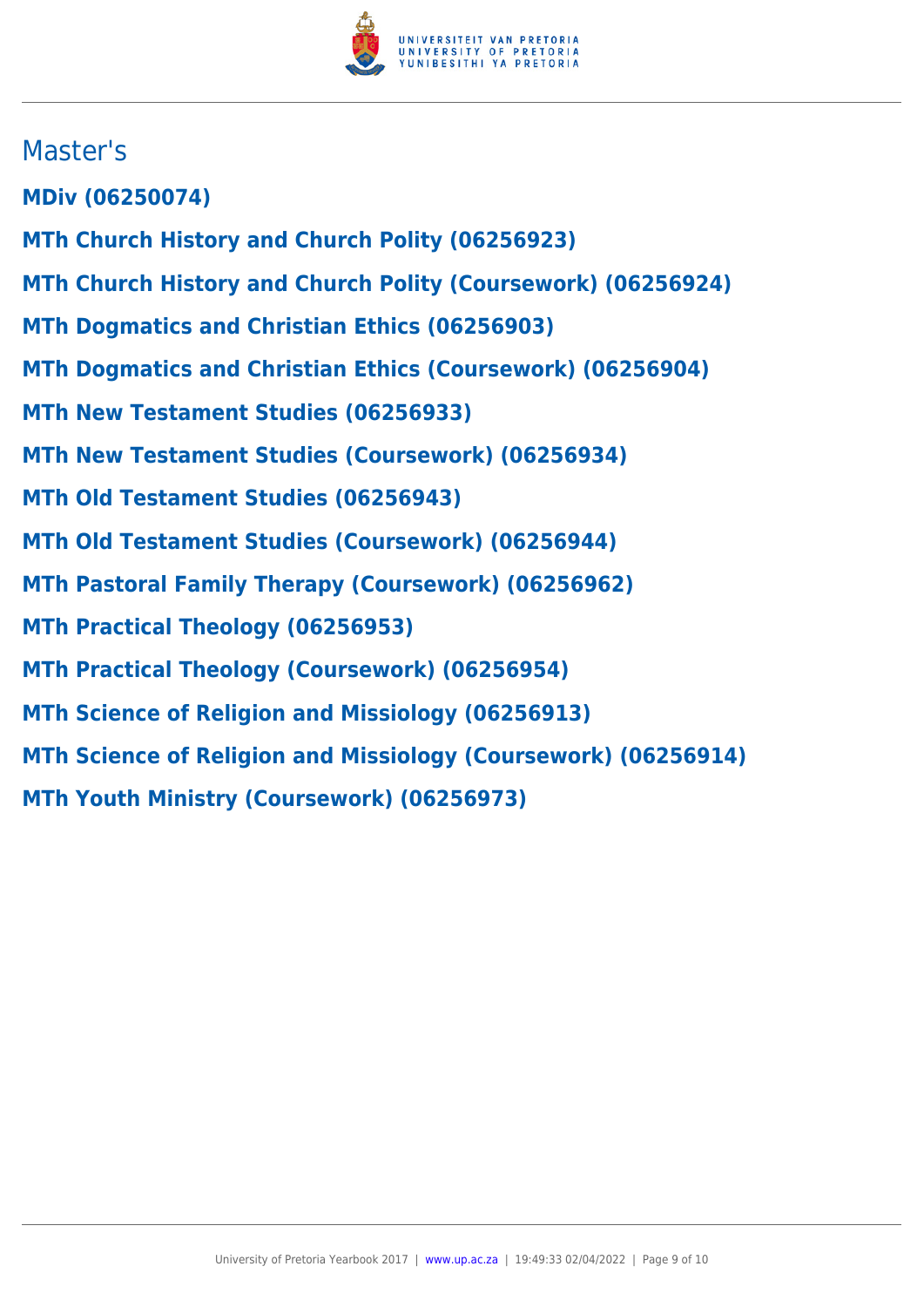

# Master's

**MDiv (06250074)**

- **MTh Church History and Church Polity (06256923)**
- **MTh Church History and Church Polity (Coursework) (06256924)**
- **MTh Dogmatics and Christian Ethics (06256903)**
- **MTh Dogmatics and Christian Ethics (Coursework) (06256904)**
- **MTh New Testament Studies (06256933)**
- **MTh New Testament Studies (Coursework) (06256934)**
- **MTh Old Testament Studies (06256943)**
- **MTh Old Testament Studies (Coursework) (06256944)**
- **MTh Pastoral Family Therapy (Coursework) (06256962)**
- **MTh Practical Theology (06256953)**
- **MTh Practical Theology (Coursework) (06256954)**
- **MTh Science of Religion and Missiology (06256913)**
- **MTh Science of Religion and Missiology (Coursework) (06256914)**
- **MTh Youth Ministry (Coursework) (06256973)**